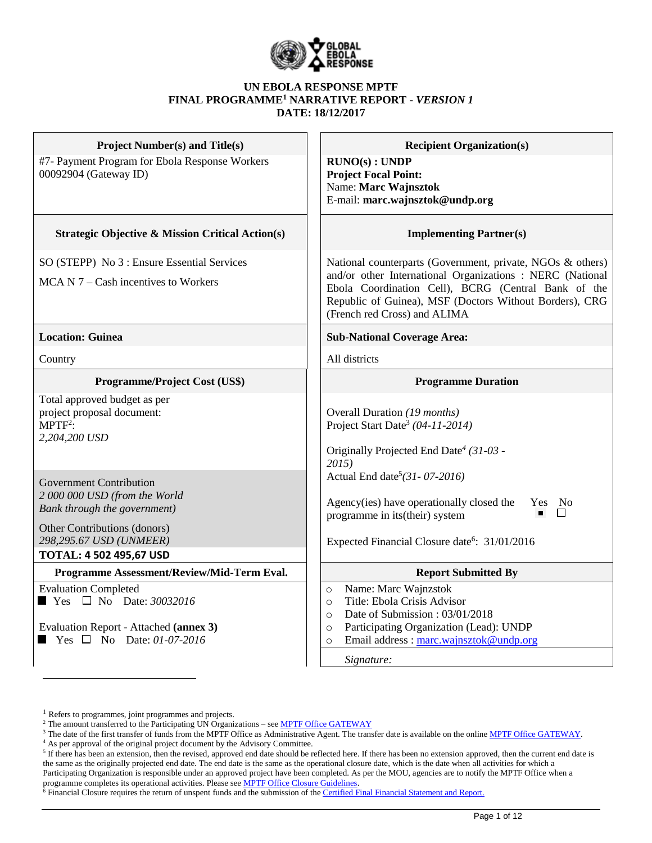

#### **UN EBOLA RESPONSE MPTF FINAL PROGRAMME<sup>1</sup> NARRATIVE REPORT -** *VERSION 1* **DATE: 18/12/2017**

| <b>Project Number(s) and Title(s)</b>                                                                                                                                                        | <b>Recipient Organization(s)</b>                                                                                                                                                                                                                                          |  |  |  |  |
|----------------------------------------------------------------------------------------------------------------------------------------------------------------------------------------------|---------------------------------------------------------------------------------------------------------------------------------------------------------------------------------------------------------------------------------------------------------------------------|--|--|--|--|
| #7- Payment Program for Ebola Response Workers<br>00092904 (Gateway ID)                                                                                                                      | RUNO(s) : UNDP<br><b>Project Focal Point:</b><br>Name: Marc Wajnsztok<br>E-mail: marc.wajnsztok@undp.org                                                                                                                                                                  |  |  |  |  |
| <b>Strategic Objective &amp; Mission Critical Action(s)</b>                                                                                                                                  | <b>Implementing Partner(s)</b>                                                                                                                                                                                                                                            |  |  |  |  |
| SO (STEPP) No 3 : Ensure Essential Services<br>$MCA N 7 - Cash$ incentives to Workers                                                                                                        | National counterparts (Government, private, NGOs & others)<br>and/or other International Organizations : NERC (National<br>Ebola Coordination Cell), BCRG (Central Bank of the<br>Republic of Guinea), MSF (Doctors Without Borders), CRG<br>(French red Cross) and ALIMA |  |  |  |  |
| <b>Location: Guinea</b>                                                                                                                                                                      | <b>Sub-National Coverage Area:</b>                                                                                                                                                                                                                                        |  |  |  |  |
| Country                                                                                                                                                                                      | All districts                                                                                                                                                                                                                                                             |  |  |  |  |
| Programme/Project Cost (US\$)                                                                                                                                                                | <b>Programme Duration</b>                                                                                                                                                                                                                                                 |  |  |  |  |
| Total approved budget as per<br>project proposal document:<br>$MPTF2$ :<br>2,204,200 USD                                                                                                     | Overall Duration (19 months)<br>Project Start Date <sup>3</sup> (04-11-2014)<br>Originally Projected End Date <sup>4</sup> (31-03 -<br>2015                                                                                                                               |  |  |  |  |
| <b>Government Contribution</b><br>2 000 000 USD (from the World<br>Bank through the government)<br>Other Contributions (donors)<br>298,295.67 USD (UNMEER)<br><b>TOTAL: 4 502 495,67 USD</b> | Actual End date <sup>5</sup> (31-07-2016)<br>Agency(ies) have operationally closed the<br>Yes No<br>П<br>programme in its(their) system<br>Expected Financial Closure date <sup>6</sup> : 31/01/2016                                                                      |  |  |  |  |
| Programme Assessment/Review/Mid-Term Eval.                                                                                                                                                   | <b>Report Submitted By</b>                                                                                                                                                                                                                                                |  |  |  |  |
| <b>Evaluation Completed</b><br>$\blacksquare$ Yes $\square$ No Date: 30032016<br>Evaluation Report - Attached (annex 3)<br>$\blacksquare$ Yes $\square$ No Date: 01-07-2016                  | Name: Marc Wajnzstok<br>$\circ$<br>Title: Ebola Crisis Advisor<br>$\circ$<br>Date of Submission: 03/01/2018<br>$\circ$<br>Participating Organization (Lead): UNDP<br>$\circ$<br>Email address: marc.wajnsztok@undp.org<br>$\Omega$<br>Signature:                          |  |  |  |  |

 $\overline{a}$ 

<sup>&</sup>lt;sup>1</sup> Refers to programmes, joint programmes and projects.

<sup>&</sup>lt;sup>2</sup> The amount transferred to the Participating UN Organizations – see **MPTF Office GATEWAY** 

<sup>&</sup>lt;sup>3</sup> The date of the first transfer of funds from the MPTF Office as Administrative Agent. The transfer date is available on the online [MPTF Office GATEWAY.](http://mdtf.undp.org/)

<sup>4</sup> As per approval of the original project document by the Advisory Committee.

 $5$  If there has been an extension, then the revised, approved end date should be reflected here. If there has been no extension approved, then the current end date is the same as the originally projected end date. The end date is the same as the operational closure date, which is the date when all activities for which a Participating Organization is responsible under an approved project have been completed. As per the MOU, agencies are to notify the MPTF Office when a programme completes its operational activities. Please see **MPTF Office Closure Guidelines**.

 $\delta$  Financial Closure requires the return of unspent funds and the submission of th[e Certified Final Financial Statement and Report.](http://mdtf.undp.org/document/download/5388)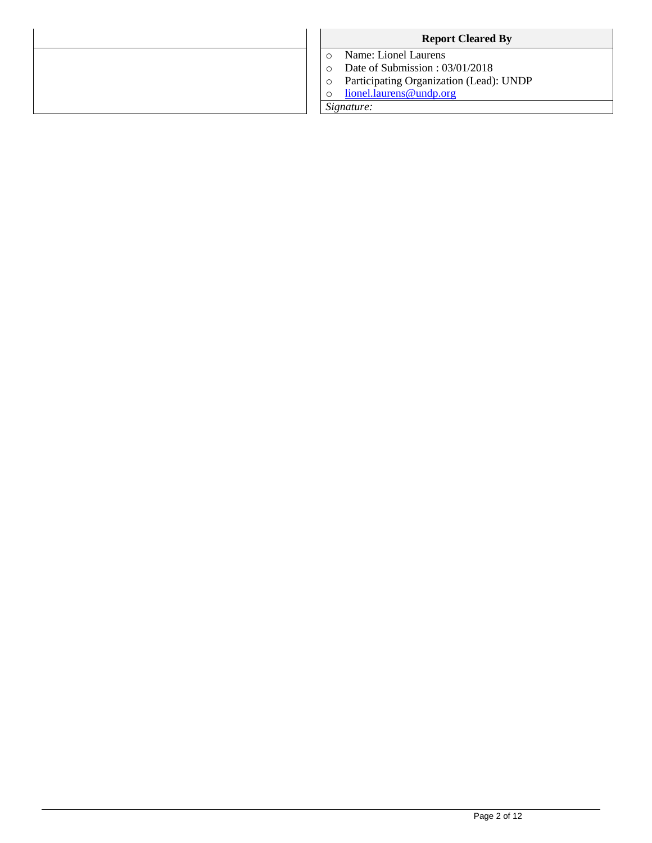| <b>Report Cleared By</b>                |  |  |  |  |
|-----------------------------------------|--|--|--|--|
| Name: Lionel Laurens                    |  |  |  |  |
| Date of Submission: 03/01/2018          |  |  |  |  |
| Participating Organization (Lead): UNDP |  |  |  |  |
| lionel.laurens@undp.org                 |  |  |  |  |
| Signature:                              |  |  |  |  |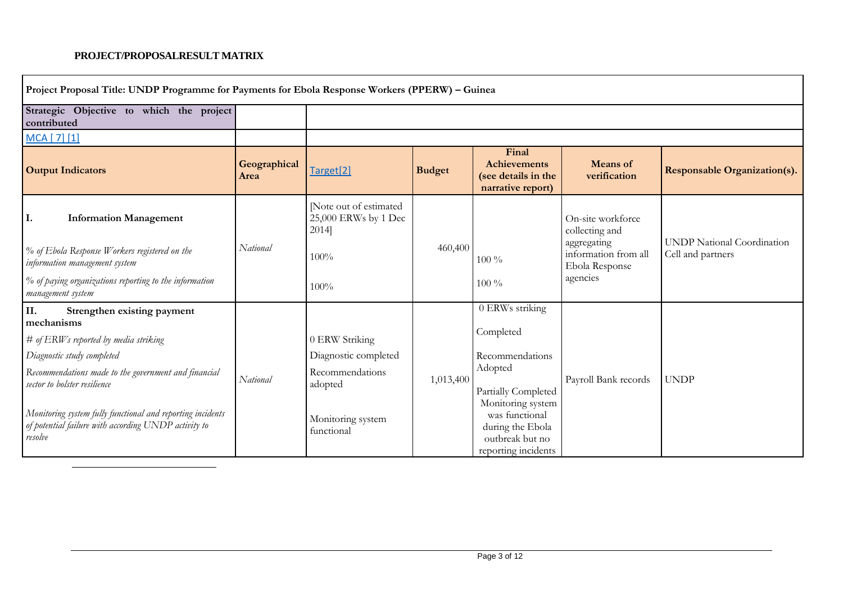## **PROJECT/PROPOSALRESULT MATRIX**

 $\overline{a}$ 

| Project Proposal Title: UNDP Programme for Payments for Ebola Response Workers (PPERW) - Guinea                               |                      |                                                         |               |                                                                                                   |                                                                            |                                                        |
|-------------------------------------------------------------------------------------------------------------------------------|----------------------|---------------------------------------------------------|---------------|---------------------------------------------------------------------------------------------------|----------------------------------------------------------------------------|--------------------------------------------------------|
| Strategic Objective to which the project<br>contributed                                                                       |                      |                                                         |               |                                                                                                   |                                                                            |                                                        |
| MCA [ 7] [1]                                                                                                                  |                      |                                                         |               |                                                                                                   |                                                                            |                                                        |
| <b>Output Indicators</b>                                                                                                      | Geographical<br>Area | Target <sup>[2]</sup>                                   | <b>Budget</b> | Final<br><b>Achievements</b><br>(see details in the<br>narrative report)                          | <b>Means</b> of<br>verification                                            | <b>Responsable Organization(s).</b>                    |
| <b>Information Management</b><br>Ι.<br>% of Ebola Response Workers registered on the                                          | National             | [Note out of estimated<br>25,000 ERWs by 1 Dec<br>2014] | 460,400       |                                                                                                   | On-site workforce<br>collecting and<br>aggregating<br>information from all | <b>UNDP</b> National Coordination<br>Cell and partners |
| information management system<br>% of paying organizations reporting to the information                                       |                      | 100%<br>100%                                            |               | $100\%$<br>$100\%$                                                                                | Ebola Response<br>agencies                                                 |                                                        |
| management system                                                                                                             |                      |                                                         |               |                                                                                                   |                                                                            |                                                        |
| II.<br>Strengthen existing payment<br>mechanisms                                                                              |                      |                                                         |               | 0 ERWs striking                                                                                   |                                                                            |                                                        |
| $#$ of $ERWs$ reported by media striking                                                                                      |                      | 0 ERW Striking                                          |               | Completed                                                                                         |                                                                            |                                                        |
| Diagnostic study completed                                                                                                    |                      | Diagnostic completed                                    |               | Recommendations                                                                                   |                                                                            |                                                        |
| Recommendations made to the government and financial<br>sector to bolster resilience                                          | National             | Recommendations<br>adopted                              | 1,013,400     | Adopted<br>Partially Completed                                                                    | Payroll Bank records                                                       | <b>UNDP</b>                                            |
| Monitoring system fully functional and reporting incidents<br>of potential failure with according UNDP activity to<br>resolve |                      | Monitoring system<br>functional                         |               | Monitoring system<br>was functional<br>during the Ebola<br>outbreak but no<br>reporting incidents |                                                                            |                                                        |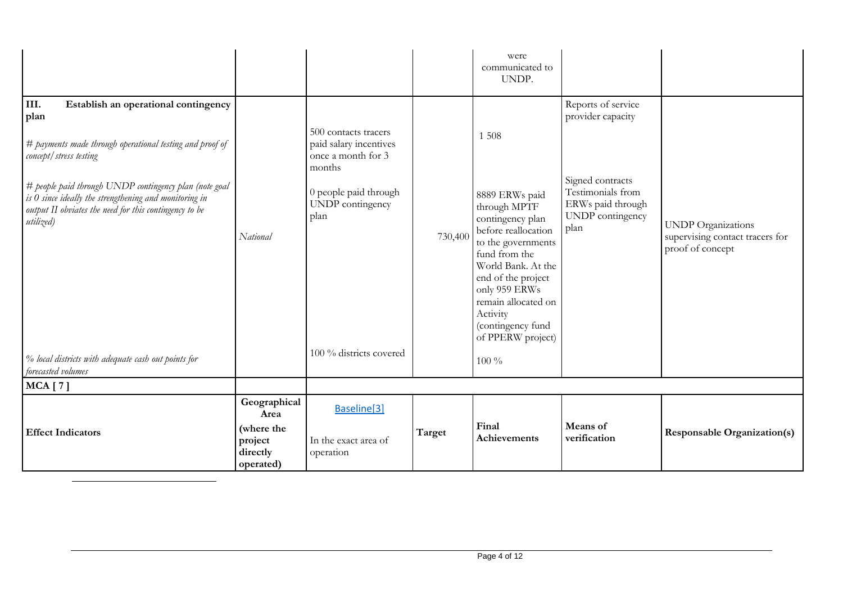|                                                                                                                                                                                                                                                                                                                                                                                                |                                                                        |                                                                                                                                                                |         | were<br>communicated to<br>UNDP.                                                                                                                                                                                                                                                 |                                                                                                                                   |                                                                                  |
|------------------------------------------------------------------------------------------------------------------------------------------------------------------------------------------------------------------------------------------------------------------------------------------------------------------------------------------------------------------------------------------------|------------------------------------------------------------------------|----------------------------------------------------------------------------------------------------------------------------------------------------------------|---------|----------------------------------------------------------------------------------------------------------------------------------------------------------------------------------------------------------------------------------------------------------------------------------|-----------------------------------------------------------------------------------------------------------------------------------|----------------------------------------------------------------------------------|
| III.<br>Establish an operational contingency<br>plan<br># payments made through operational testing and proof of<br>concept/stress testing<br># people paid through UNDP contingency plan (note goal<br>is $0$ since ideally the strengthening and monitoring in<br>output II obviates the need for this contingency to be<br>utilized)<br>% local districts with adequate cash out points for | National                                                               | 500 contacts tracers<br>paid salary incentives<br>once a month for 3<br>months<br>0 people paid through<br>UNDP contingency<br>plan<br>100 % districts covered | 730,400 | 1 5 0 8<br>8889 ERWs paid<br>through MPTF<br>contingency plan<br>before reallocation<br>to the governments<br>fund from the<br>World Bank. At the<br>end of the project<br>only 959 ERWs<br>remain allocated on<br>Activity<br>(contingency fund<br>of PPERW project)<br>$100\%$ | Reports of service<br>provider capacity<br>Signed contracts<br>Testimonials from<br>ERWs paid through<br>UNDP contingency<br>plan | <b>UNDP</b> Organizations<br>supervising contact tracers for<br>proof of concept |
| forecasted volumes<br><b>MCA</b> [7]                                                                                                                                                                                                                                                                                                                                                           |                                                                        |                                                                                                                                                                |         |                                                                                                                                                                                                                                                                                  |                                                                                                                                   |                                                                                  |
| <b>Effect Indicators</b>                                                                                                                                                                                                                                                                                                                                                                       | Geographical<br>Area<br>(where the<br>project<br>directly<br>operated) | Baseline[3]<br>In the exact area of<br>operation                                                                                                               | Target  | Final<br>Achievements                                                                                                                                                                                                                                                            | Means of<br>verification                                                                                                          | <b>Responsable Organization(s)</b>                                               |

 $\overline{a}$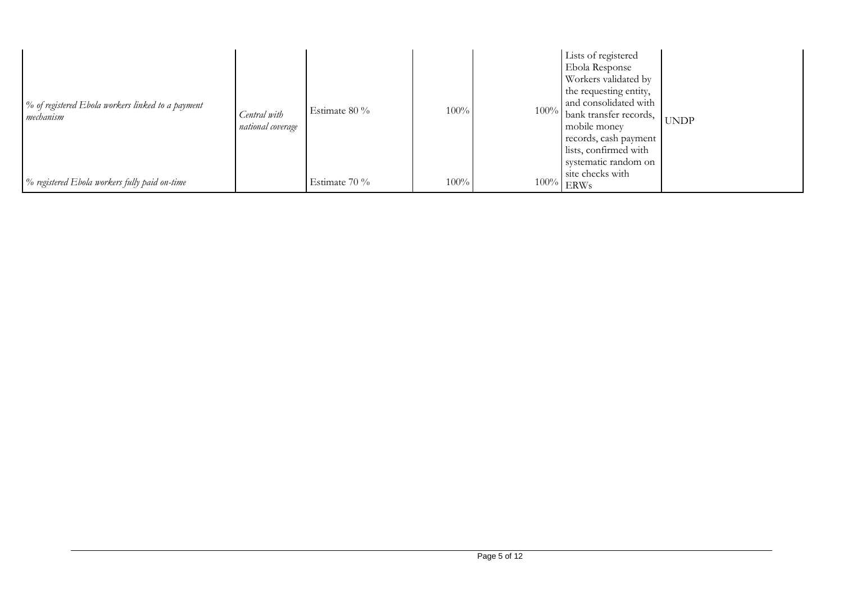| % of registered Ebola workers linked to a payment<br>mechanism | Central with<br>national coverage | Estimate 80 % | 100% | Lists of registered<br><b>Ebola Response</b><br>Workers validated by<br>the requesting entity,<br>and consolidated with<br>100% bank transfer records,<br>mobile money<br>records, cash payment<br>lists, confirmed with<br>systematic random on<br>site checks with | <b>UNDP</b> |
|----------------------------------------------------------------|-----------------------------------|---------------|------|----------------------------------------------------------------------------------------------------------------------------------------------------------------------------------------------------------------------------------------------------------------------|-------------|
| % registered Ebola workers fully paid on-time                  |                                   | Estimate 70 % | 100% | $100\%$ ERWs                                                                                                                                                                                                                                                         |             |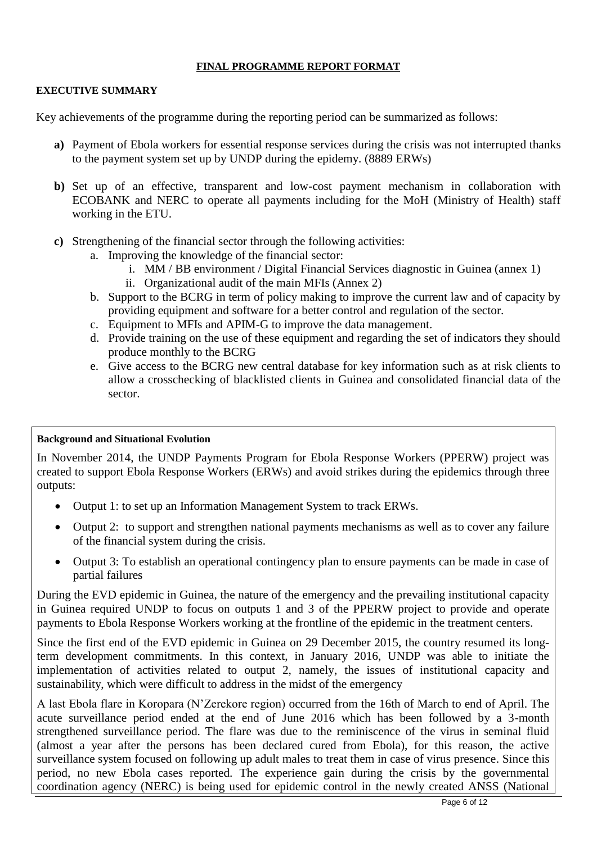## **FINAL PROGRAMME REPORT FORMAT**

### **EXECUTIVE SUMMARY**

Key achievements of the programme during the reporting period can be summarized as follows:

- **a)** Payment of Ebola workers for essential response services during the crisis was not interrupted thanks to the payment system set up by UNDP during the epidemy. (8889 ERWs)
- **b)** Set up of an effective, transparent and low-cost payment mechanism in collaboration with ECOBANK and NERC to operate all payments including for the MoH (Ministry of Health) staff working in the ETU.
- **c)** Strengthening of the financial sector through the following activities:
	- a. Improving the knowledge of the financial sector:
		- i. MM / BB environment / Digital Financial Services diagnostic in Guinea (annex 1)
		- ii. Organizational audit of the main MFIs (Annex 2)
	- b. Support to the BCRG in term of policy making to improve the current law and of capacity by providing equipment and software for a better control and regulation of the sector.
	- c. Equipment to MFIs and APIM-G to improve the data management.
	- d. Provide training on the use of these equipment and regarding the set of indicators they should produce monthly to the BCRG
	- e. Give access to the BCRG new central database for key information such as at risk clients to allow a crosschecking of blacklisted clients in Guinea and consolidated financial data of the sector.

#### **Background and Situational Evolution**

In November 2014, the UNDP Payments Program for Ebola Response Workers (PPERW) project was created to support Ebola Response Workers (ERWs) and avoid strikes during the epidemics through three outputs:

- Output 1: to set up an Information Management System to track ERWs.
- Output 2: to support and strengthen national payments mechanisms as well as to cover any failure of the financial system during the crisis.
- Output 3: To establish an operational contingency plan to ensure payments can be made in case of partial failures

During the EVD epidemic in Guinea, the nature of the emergency and the prevailing institutional capacity in Guinea required UNDP to focus on outputs 1 and 3 of the PPERW project to provide and operate payments to Ebola Response Workers working at the frontline of the epidemic in the treatment centers.

Since the first end of the EVD epidemic in Guinea on 29 December 2015, the country resumed its longterm development commitments. In this context, in January 2016, UNDP was able to initiate the implementation of activities related to output 2, namely, the issues of institutional capacity and sustainability, which were difficult to address in the midst of the emergency

A last Ebola flare in Koropara (N'Zerekore region) occurred from the 16th of March to end of April. The acute surveillance period ended at the end of June 2016 which has been followed by a 3-month strengthened surveillance period. The flare was due to the reminiscence of the virus in seminal fluid (almost a year after the persons has been declared cured from Ebola), for this reason, the active surveillance system focused on following up adult males to treat them in case of virus presence. Since this period, no new Ebola cases reported. The experience gain during the crisis by the governmental coordination agency (NERC) is being used for epidemic control in the newly created ANSS (National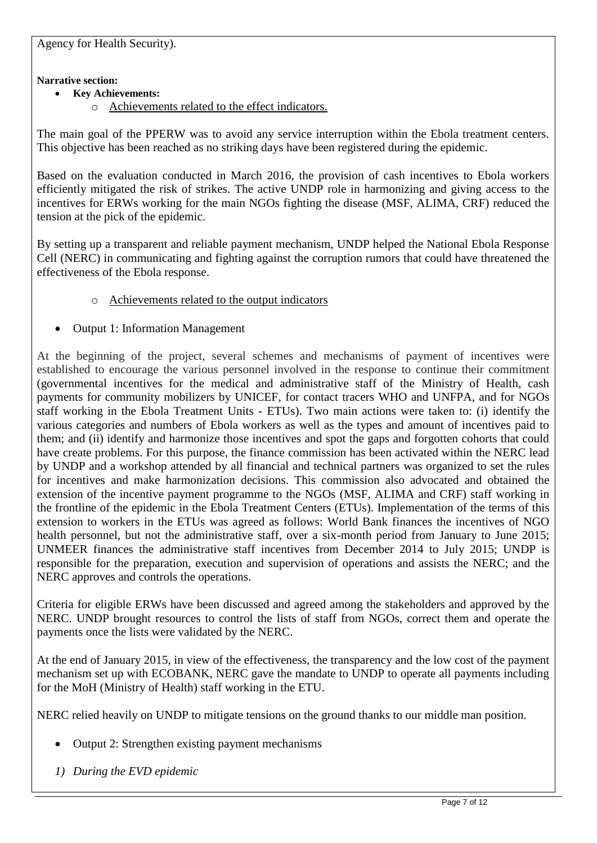Agency for Health Security).

## **Narrative section:**

- **Key Achievements:**
	- o Achievements related to the effect indicators.

The main goal of the PPERW was to avoid any service interruption within the Ebola treatment centers. This objective has been reached as no striking days have been registered during the epidemic.

Based on the evaluation conducted in March 2016, the provision of cash incentives to Ebola workers efficiently mitigated the risk of strikes. The active UNDP role in harmonizing and giving access to the incentives for ERWs working for the main NGOs fighting the disease (MSF, ALIMA, CRF) reduced the tension at the pick of the epidemic.

By setting up a transparent and reliable payment mechanism, UNDP helped the National Ebola Response Cell (NERC) in communicating and fighting against the corruption rumors that could have threatened the effectiveness of the Ebola response.

- o Achievements related to the output indicators
- Output 1: Information Management

At the beginning of the project, several schemes and mechanisms of payment of incentives were established to encourage the various personnel involved in the response to continue their commitment (governmental incentives for the medical and administrative staff of the Ministry of Health, cash payments for community mobilizers by UNICEF, for contact tracers WHO and UNFPA, and for NGOs staff working in the Ebola Treatment Units - ETUs). Two main actions were taken to: (i) identify the various categories and numbers of Ebola workers as well as the types and amount of incentives paid to them; and (ii) identify and harmonize those incentives and spot the gaps and forgotten cohorts that could have create problems. For this purpose, the finance commission has been activated within the NERC lead by UNDP and a workshop attended by all financial and technical partners was organized to set the rules for incentives and make harmonization decisions. This commission also advocated and obtained the extension of the incentive payment programme to the NGOs (MSF, ALIMA and CRF) staff working in the frontline of the epidemic in the Ebola Treatment Centers (ETUs). Implementation of the terms of this extension to workers in the ETUs was agreed as follows: World Bank finances the incentives of NGO health personnel, but not the administrative staff, over a six-month period from January to June 2015; UNMEER finances the administrative staff incentives from December 2014 to July 2015; UNDP is responsible for the preparation, execution and supervision of operations and assists the NERC; and the NERC approves and controls the operations.

Criteria for eligible ERWs have been discussed and agreed among the stakeholders and approved by the NERC. UNDP brought resources to control the lists of staff from NGOs, correct them and operate the payments once the lists were validated by the NERC.

At the end of January 2015, in view of the effectiveness, the transparency and the low cost of the payment mechanism set up with ECOBANK, NERC gave the mandate to UNDP to operate all payments including for the MoH (Ministry of Health) staff working in the ETU.

NERC relied heavily on UNDP to mitigate tensions on the ground thanks to our middle man position.

- Output 2: Strengthen existing payment mechanisms
- *1) During the EVD epidemic*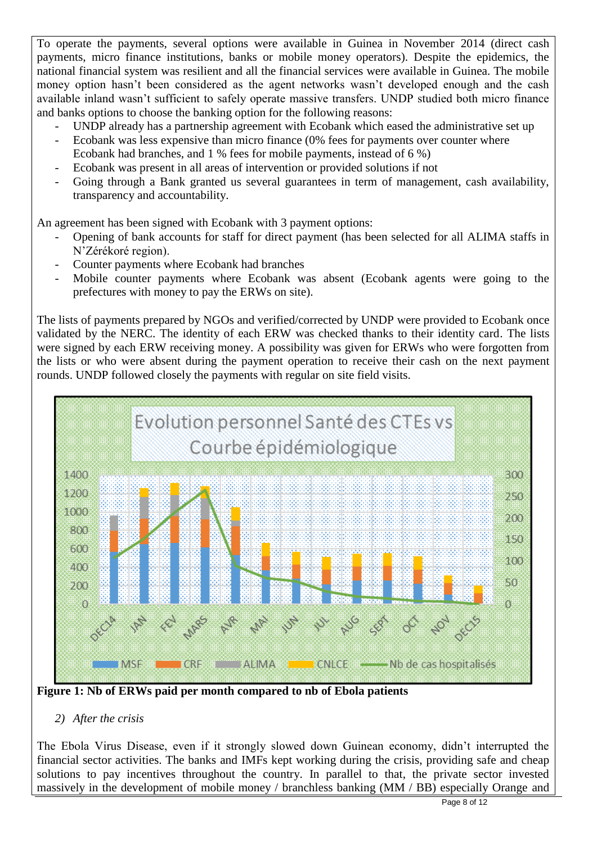To operate the payments, several options were available in Guinea in November 2014 (direct cash payments, micro finance institutions, banks or mobile money operators). Despite the epidemics, the national financial system was resilient and all the financial services were available in Guinea. The mobile money option hasn't been considered as the agent networks wasn't developed enough and the cash available inland wasn't sufficient to safely operate massive transfers. UNDP studied both micro finance and banks options to choose the banking option for the following reasons:

- UNDP already has a partnership agreement with Ecobank which eased the administrative set up
- Ecobank was less expensive than micro finance (0% fees for payments over counter where Ecobank had branches, and 1 % fees for mobile payments, instead of 6 %)
- Ecobank was present in all areas of intervention or provided solutions if not
- Going through a Bank granted us several guarantees in term of management, cash availability, transparency and accountability.

An agreement has been signed with Ecobank with 3 payment options:

- Opening of bank accounts for staff for direct payment (has been selected for all ALIMA staffs in N'Zérékoré region).
- Counter payments where Ecobank had branches
- Mobile counter payments where Ecobank was absent (Ecobank agents were going to the prefectures with money to pay the ERWs on site).

The lists of payments prepared by NGOs and verified/corrected by UNDP were provided to Ecobank once validated by the NERC. The identity of each ERW was checked thanks to their identity card. The lists were signed by each ERW receiving money. A possibility was given for ERWs who were forgotten from the lists or who were absent during the payment operation to receive their cash on the next payment rounds. UNDP followed closely the payments with regular on site field visits.



**Figure 1: Nb of ERWs paid per month compared to nb of Ebola patients**

# *2) After the crisis*

The Ebola Virus Disease, even if it strongly slowed down Guinean economy, didn't interrupted the financial sector activities. The banks and IMFs kept working during the crisis, providing safe and cheap solutions to pay incentives throughout the country. In parallel to that, the private sector invested massively in the development of mobile money / branchless banking (MM / BB) especially Orange and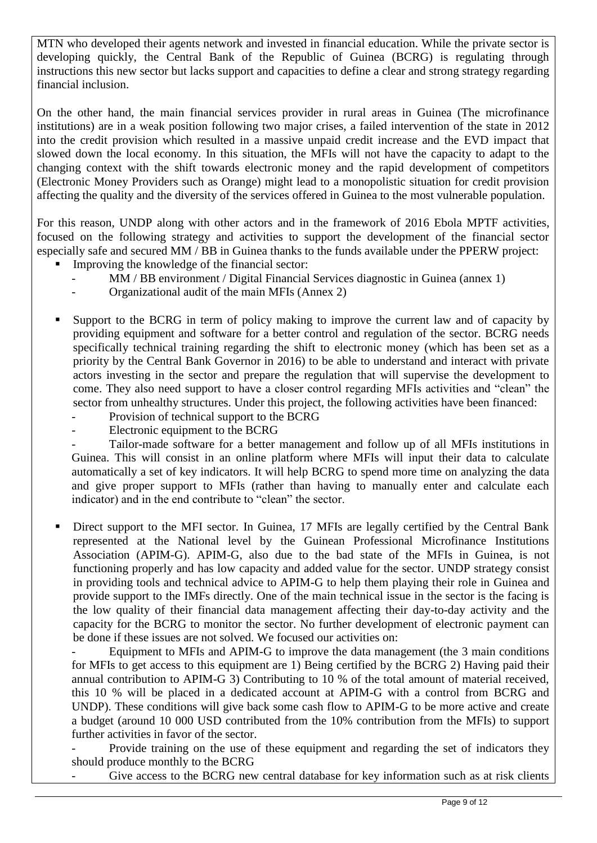MTN who developed their agents network and invested in financial education. While the private sector is developing quickly, the Central Bank of the Republic of Guinea (BCRG) is regulating through instructions this new sector but lacks support and capacities to define a clear and strong strategy regarding financial inclusion.

On the other hand, the main financial services provider in rural areas in Guinea (The microfinance institutions) are in a weak position following two major crises, a failed intervention of the state in 2012 into the credit provision which resulted in a massive unpaid credit increase and the EVD impact that slowed down the local economy. In this situation, the MFIs will not have the capacity to adapt to the changing context with the shift towards electronic money and the rapid development of competitors (Electronic Money Providers such as Orange) might lead to a monopolistic situation for credit provision affecting the quality and the diversity of the services offered in Guinea to the most vulnerable population.

For this reason, UNDP along with other actors and in the framework of 2016 Ebola MPTF activities, focused on the following strategy and activities to support the development of the financial sector especially safe and secured MM / BB in Guinea thanks to the funds available under the PPERW project:

- Improving the knowledge of the financial sector:
	- MM / BB environment / Digital Financial Services diagnostic in Guinea (annex 1)
	- Organizational audit of the main MFIs (Annex 2)
- Support to the BCRG in term of policy making to improve the current law and of capacity by providing equipment and software for a better control and regulation of the sector. BCRG needs specifically technical training regarding the shift to electronic money (which has been set as a priority by the Central Bank Governor in 2016) to be able to understand and interact with private actors investing in the sector and prepare the regulation that will supervise the development to come. They also need support to have a closer control regarding MFIs activities and "clean" the sector from unhealthy structures. Under this project, the following activities have been financed:
	- Provision of technical support to the BCRG
	- Electronic equipment to the BCRG

Tailor-made software for a better management and follow up of all MFIs institutions in Guinea. This will consist in an online platform where MFIs will input their data to calculate automatically a set of key indicators. It will help BCRG to spend more time on analyzing the data and give proper support to MFIs (rather than having to manually enter and calculate each indicator) and in the end contribute to "clean" the sector.

 Direct support to the MFI sector. In Guinea, 17 MFIs are legally certified by the Central Bank represented at the National level by the Guinean Professional Microfinance Institutions Association (APIM-G). APIM-G, also due to the bad state of the MFIs in Guinea, is not functioning properly and has low capacity and added value for the sector. UNDP strategy consist in providing tools and technical advice to APIM-G to help them playing their role in Guinea and provide support to the IMFs directly. One of the main technical issue in the sector is the facing is the low quality of their financial data management affecting their day-to-day activity and the capacity for the BCRG to monitor the sector. No further development of electronic payment can be done if these issues are not solved. We focused our activities on:

Equipment to MFIs and APIM-G to improve the data management (the 3 main conditions for MFIs to get access to this equipment are 1) Being certified by the BCRG 2) Having paid their annual contribution to APIM-G 3) Contributing to 10 % of the total amount of material received, this 10 % will be placed in a dedicated account at APIM-G with a control from BCRG and UNDP). These conditions will give back some cash flow to APIM-G to be more active and create a budget (around 10 000 USD contributed from the 10% contribution from the MFIs) to support further activities in favor of the sector.

Provide training on the use of these equipment and regarding the set of indicators they should produce monthly to the BCRG

Give access to the BCRG new central database for key information such as at risk clients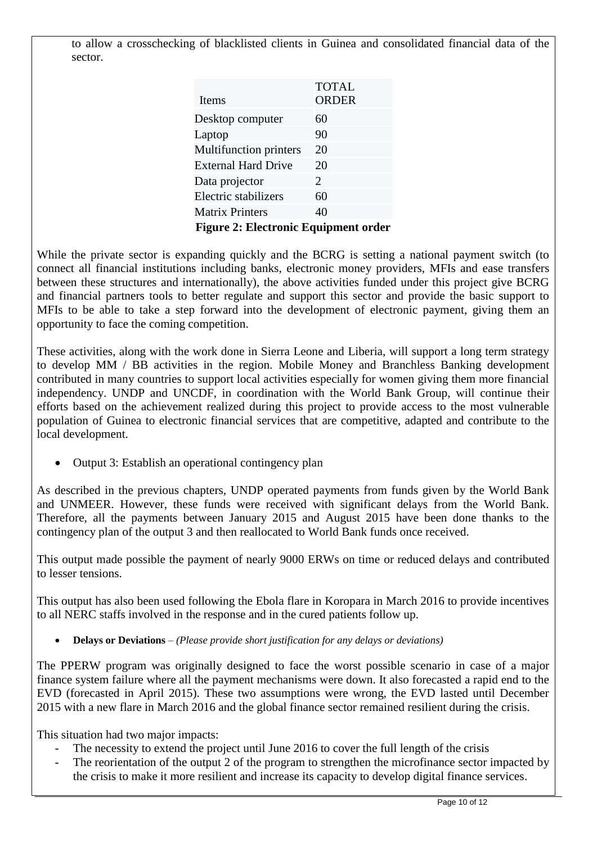to allow a crosschecking of blacklisted clients in Guinea and consolidated financial data of the sector.

| <b>TOTAL</b>                                |
|---------------------------------------------|
| <b>ORDER</b>                                |
| 60                                          |
| 90                                          |
| 20                                          |
| 20                                          |
| $\mathcal{D}_{\cdot}$                       |
| 60                                          |
| 40                                          |
| <b>Figure 2: Electronic Equipment order</b> |
|                                             |

While the private sector is expanding quickly and the BCRG is setting a national payment switch (to connect all financial institutions including banks, electronic money providers, MFIs and ease transfers between these structures and internationally), the above activities funded under this project give BCRG and financial partners tools to better regulate and support this sector and provide the basic support to MFIs to be able to take a step forward into the development of electronic payment, giving them an opportunity to face the coming competition.

These activities, along with the work done in Sierra Leone and Liberia, will support a long term strategy to develop MM / BB activities in the region. Mobile Money and Branchless Banking development contributed in many countries to support local activities especially for women giving them more financial independency. UNDP and UNCDF, in coordination with the World Bank Group, will continue their efforts based on the achievement realized during this project to provide access to the most vulnerable population of Guinea to electronic financial services that are competitive, adapted and contribute to the local development.

Output 3: Establish an operational contingency plan

As described in the previous chapters, UNDP operated payments from funds given by the World Bank and UNMEER. However, these funds were received with significant delays from the World Bank. Therefore, all the payments between January 2015 and August 2015 have been done thanks to the contingency plan of the output 3 and then reallocated to World Bank funds once received.

This output made possible the payment of nearly 9000 ERWs on time or reduced delays and contributed to lesser tensions.

This output has also been used following the Ebola flare in Koropara in March 2016 to provide incentives to all NERC staffs involved in the response and in the cured patients follow up.

**Delays or Deviations** *– (Please provide short justification for any delays or deviations)*

The PPERW program was originally designed to face the worst possible scenario in case of a major finance system failure where all the payment mechanisms were down. It also forecasted a rapid end to the EVD (forecasted in April 2015). These two assumptions were wrong, the EVD lasted until December 2015 with a new flare in March 2016 and the global finance sector remained resilient during the crisis.

This situation had two major impacts:

- The necessity to extend the project until June 2016 to cover the full length of the crisis
- The reorientation of the output 2 of the program to strengthen the microfinance sector impacted by the crisis to make it more resilient and increase its capacity to develop digital finance services.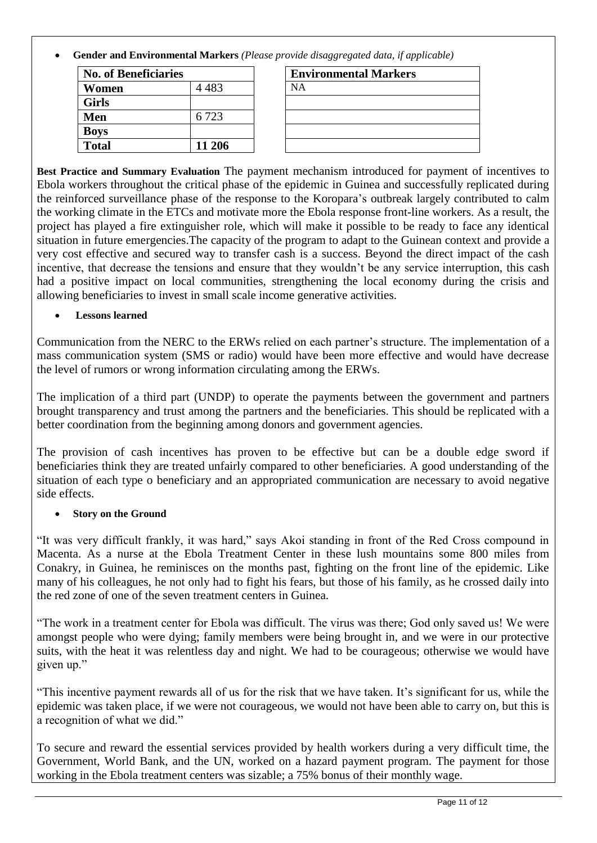**Gender and Environmental Markers** *(Please provide disaggregated data, if applicable)*

| <b>No. of Beneficiaries</b> |        | <b>Environmental Markers</b> |
|-----------------------------|--------|------------------------------|
| Women                       | 4 483  | NА                           |
| <b>Girls</b>                |        |                              |
| Men                         | 6.723  |                              |
| <b>Boys</b>                 |        |                              |
| <b>Total</b>                | 11 206 |                              |

| <b>Environmental Markers</b> |  |
|------------------------------|--|
| <b>NA</b>                    |  |
|                              |  |
|                              |  |
|                              |  |
|                              |  |

**Best Practice and Summary Evaluation** The payment mechanism introduced for payment of incentives to Ebola workers throughout the critical phase of the epidemic in Guinea and successfully replicated during the reinforced surveillance phase of the response to the Koropara's outbreak largely contributed to calm the working climate in the ETCs and motivate more the Ebola response front-line workers. As a result, the project has played a fire extinguisher role, which will make it possible to be ready to face any identical situation in future emergencies.The capacity of the program to adapt to the Guinean context and provide a very cost effective and secured way to transfer cash is a success. Beyond the direct impact of the cash incentive, that decrease the tensions and ensure that they wouldn't be any service interruption, this cash had a positive impact on local communities, strengthening the local economy during the crisis and allowing beneficiaries to invest in small scale income generative activities.

## **Lessons learned**

Communication from the NERC to the ERWs relied on each partner's structure. The implementation of a mass communication system (SMS or radio) would have been more effective and would have decrease the level of rumors or wrong information circulating among the ERWs.

The implication of a third part (UNDP) to operate the payments between the government and partners brought transparency and trust among the partners and the beneficiaries. This should be replicated with a better coordination from the beginning among donors and government agencies.

The provision of cash incentives has proven to be effective but can be a double edge sword if beneficiaries think they are treated unfairly compared to other beneficiaries. A good understanding of the situation of each type o beneficiary and an appropriated communication are necessary to avoid negative side effects.

## **Story on the Ground**

"It was very difficult frankly, it was hard," says Akoi standing in front of the Red Cross compound in Macenta. As a nurse at the Ebola Treatment Center in these lush mountains some 800 miles from Conakry, in Guinea, he reminisces on the months past, fighting on the front line of the epidemic. Like many of his colleagues, he not only had to fight his fears, but those of his family, as he crossed daily into the red zone of one of the seven treatment centers in Guinea.

"The work in a treatment center for Ebola was difficult. The virus was there; God only saved us! We were amongst people who were dying; family members were being brought in, and we were in our protective suits, with the heat it was relentless day and night. We had to be courageous; otherwise we would have given up."

"This incentive payment rewards all of us for the risk that we have taken. It's significant for us, while the epidemic was taken place, if we were not courageous, we would not have been able to carry on, but this is a recognition of what we did."

To secure and reward the essential services provided by health workers during a very difficult time, the Government, World Bank, and the UN, worked on a hazard payment program. The payment for those working in the Ebola treatment centers was sizable; a 75% bonus of their monthly wage.